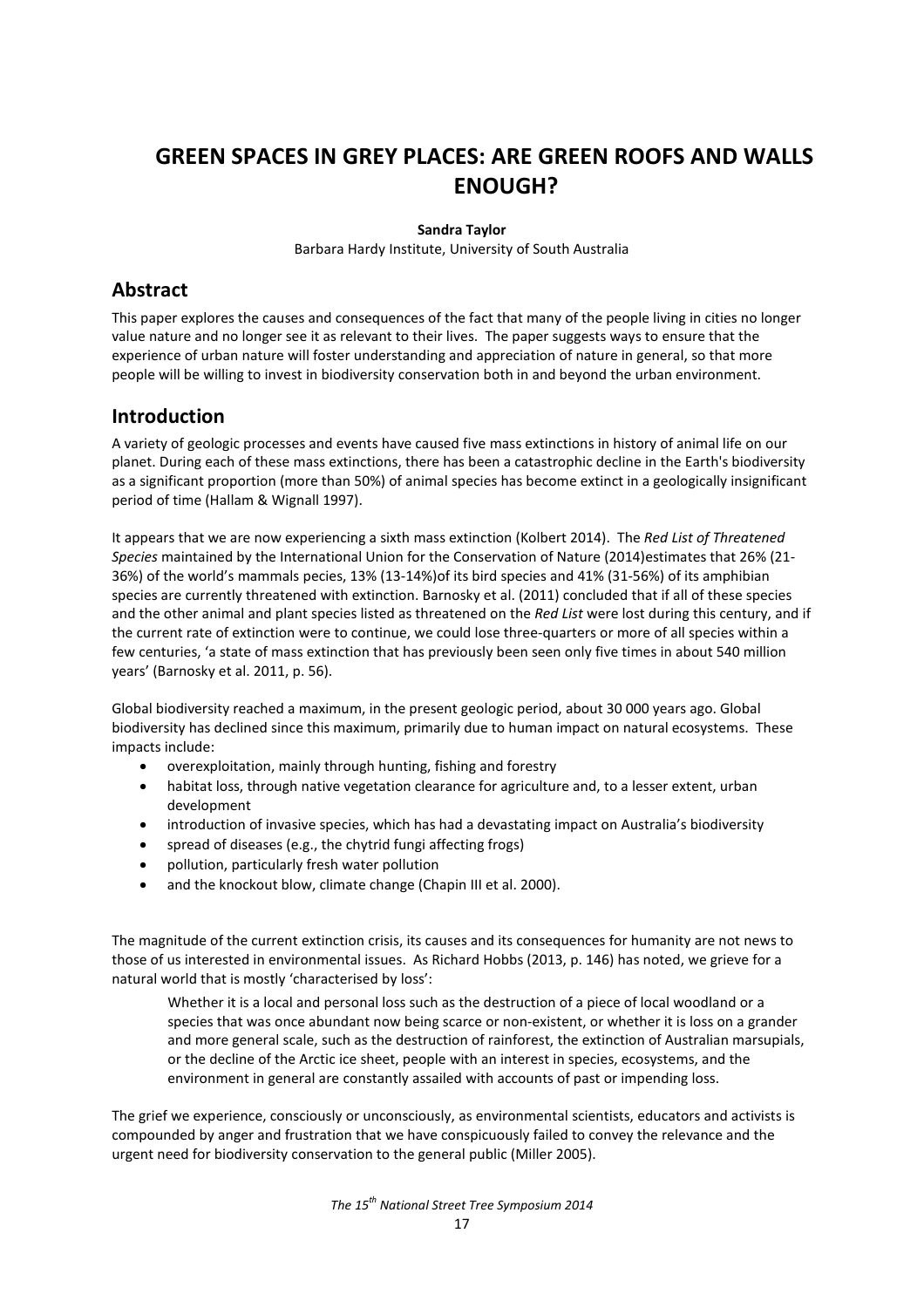# **GREEN SPACES IN GREY PLACES: ARE GREEN ROOFS AND WALLS ENOUGH?**

#### **Sandra Taylor**

Barbara Hardy Institute, University of South Australia

### **Abstract**

This paper explores the causes and consequences of the fact that many of the people living in cities no longer value nature and no longer see it as relevant to their lives. The paper suggests ways to ensure that the experience of urban nature will foster understanding and appreciation of nature in general, so that more people will be willing to invest in biodiversity conservation both in and beyond the urban environment.

#### **Introduction**

A variety of geologic processes and events have caused five mass extinctions in history of animal life on our planet. During each of these mass extinctions, there has been a catastrophic decline in the Earth's biodiversity as a significant proportion (more than 50%) of animal species has become extinct in a geologically insignificant period of time (Hallam & Wignall 1997).

It appears that we are now experiencing a sixth mass extinction (Kolbert 2014). The *Red List of Threatened Species* maintained by the International Union for the Conservation of Nature (2014)estimates that 26% (21- 36%) of the world's mammals pecies, 13% (13-14%)of its bird species and 41% (31-56%) of its amphibian species are currently threatened with extinction. Barnosky et al. (2011) concluded that if all of these species and the other animal and plant species listed as threatened on the *Red List* were lost during this century, and if the current rate of extinction were to continue, we could lose three-quarters or more of all species within a few centuries, 'a state of mass extinction that has previously been seen only five times in about 540 million years' (Barnosky et al. 2011, p. 56).

Global biodiversity reached a maximum, in the present geologic period, about 30 000 years ago. Global biodiversity has declined since this maximum, primarily due to human impact on natural ecosystems. These impacts include:

- overexploitation, mainly through hunting, fishing and forestry
- habitat loss, through native vegetation clearance for agriculture and, to a lesser extent, urban development
- introduction of invasive species, which has had a devastating impact on Australia's biodiversity
- spread of diseases (e.g., the chytrid fungi affecting frogs)
- pollution, particularly fresh water pollution
- and the knockout blow, climate change (Chapin III et al. 2000).

The magnitude of the current extinction crisis, its causes and its consequences for humanity are not news to those of us interested in environmental issues. As Richard Hobbs (2013, p. 146) has noted, we grieve for a natural world that is mostly 'characterised by loss':

Whether it is a local and personal loss such as the destruction of a piece of local woodland or a species that was once abundant now being scarce or non-existent, or whether it is loss on a grander and more general scale, such as the destruction of rainforest, the extinction of Australian marsupials, or the decline of the Arctic ice sheet, people with an interest in species, ecosystems, and the environment in general are constantly assailed with accounts of past or impending loss.

The grief we experience, consciously or unconsciously, as environmental scientists, educators and activists is compounded by anger and frustration that we have conspicuously failed to convey the relevance and the urgent need for biodiversity conservation to the general public (Miller 2005).

*The 15th National Street Tree Symposium 2014*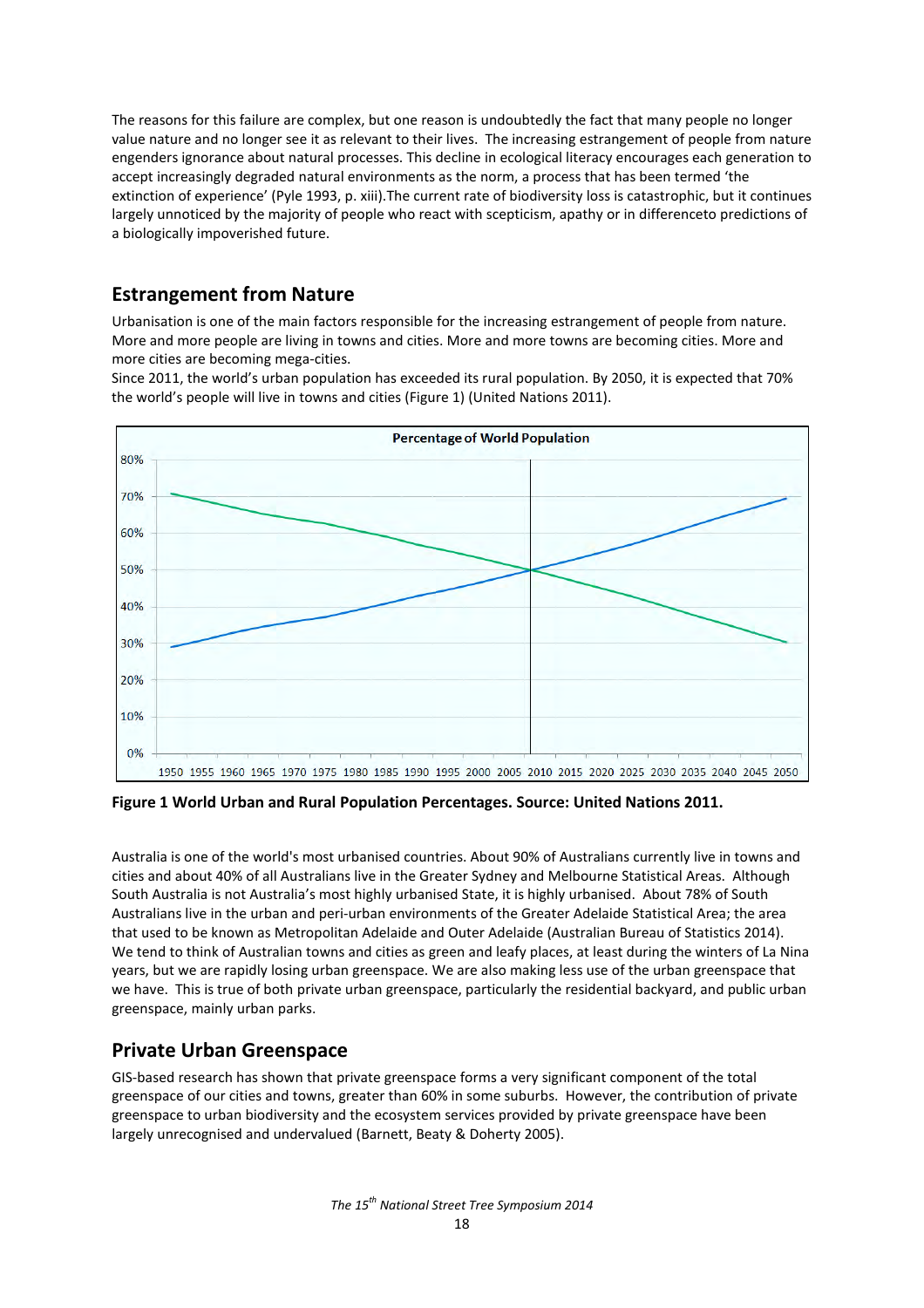The reasons for this failure are complex, but one reason is undoubtedly the fact that many people no longer value nature and no longer see it as relevant to their lives. The increasing estrangement of people from nature engenders ignorance about natural processes. This decline in ecological literacy encourages each generation to accept increasingly degraded natural environments as the norm, a process that has been termed 'the extinction of experience' (Pyle 1993, p. xiii).The current rate of biodiversity loss is catastrophic, but it continues largely unnoticed by the majority of people who react with scepticism, apathy or in differenceto predictions of a biologically impoverished future.

# **Estrangement from Nature**

Urbanisation is one of the main factors responsible for the increasing estrangement of people from nature. More and more people are living in towns and cities. More and more towns are becoming cities. More and more cities are becoming mega-cities.

Since 2011, the world's urban population has exceeded its rural population. By 2050, it is expected that 70% the world's people will live in towns and cities (Figure 1) (United Nations 2011).



**Figure 1 World Urban and Rural Population Percentages. Source: United Nations 2011.** 

Australia is one of the world's most urbanised countries. About 90% of Australians currently live in towns and cities and about 40% of all Australians live in the Greater Sydney and Melbourne Statistical Areas. Although South Australia is not Australia's most highly urbanised State, it is highly urbanised. About 78% of South Australians live in the urban and peri-urban environments of the Greater Adelaide Statistical Area; the area that used to be known as Metropolitan Adelaide and Outer Adelaide (Australian Bureau of Statistics 2014). We tend to think of Australian towns and cities as green and leafy places, at least during the winters of La Nina years, but we are rapidly losing urban greenspace. We are also making less use of the urban greenspace that we have. This is true of both private urban greenspace, particularly the residential backyard, and public urban greenspace, mainly urban parks.

# **Private Urban Greenspace**

GIS-based research has shown that private greenspace forms a very significant component of the total greenspace of our cities and towns, greater than 60% in some suburbs. However, the contribution of private greenspace to urban biodiversity and the ecosystem services provided by private greenspace have been largely unrecognised and undervalued (Barnett, Beaty & Doherty 2005).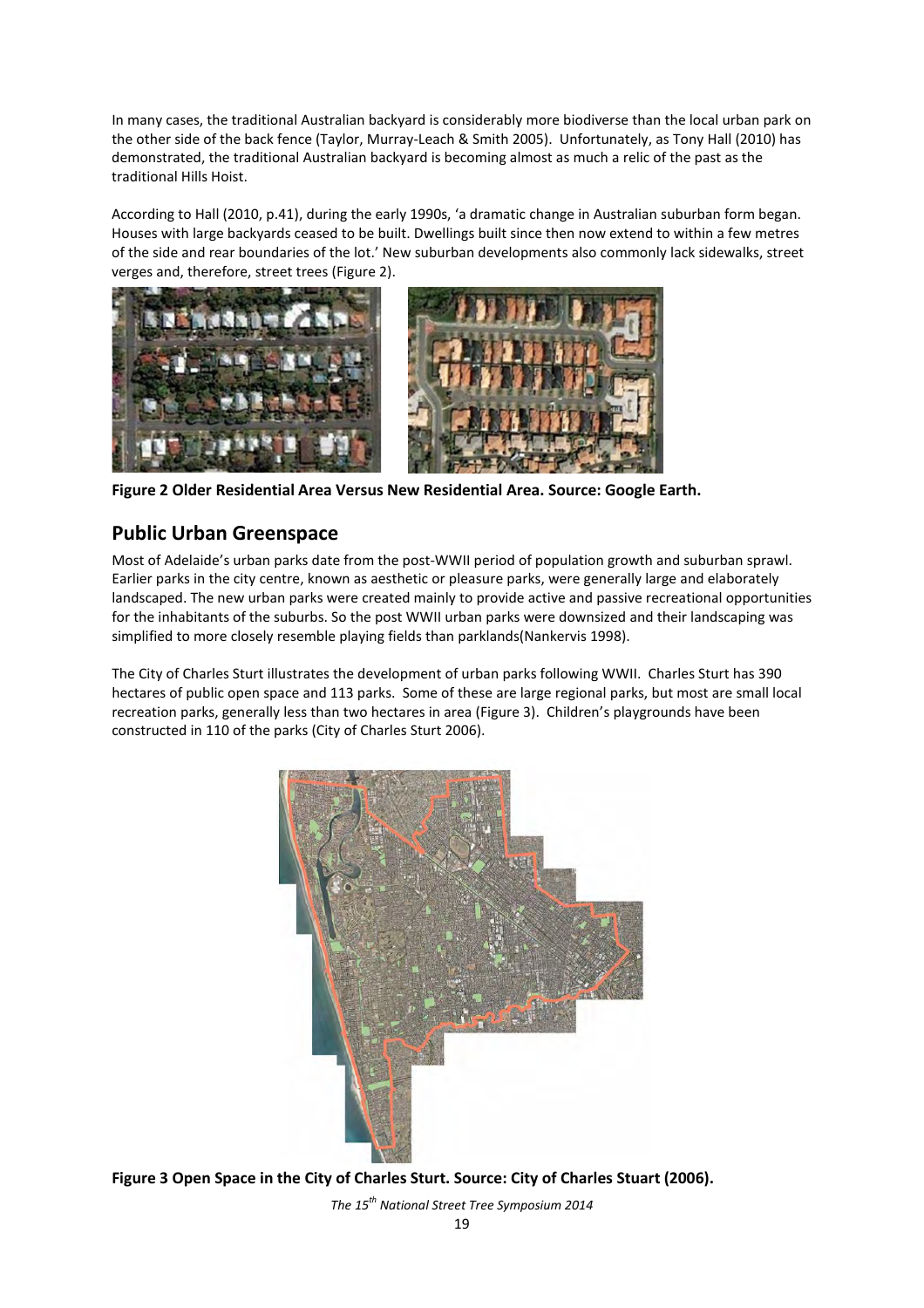In many cases, the traditional Australian backyard is considerably more biodiverse than the local urban park on the other side of the back fence (Taylor, Murray-Leach & Smith 2005). Unfortunately, as Tony Hall (2010) has demonstrated, the traditional Australian backyard is becoming almost as much a relic of the past as the traditional Hills Hoist.

According to Hall (2010, p.41), during the early 1990s, 'a dramatic change in Australian suburban form began. Houses with large backyards ceased to be built. Dwellings built since then now extend to within a few metres of the side and rear boundaries of the lot.' New suburban developments also commonly lack sidewalks, street verges and, therefore, street trees (Figure 2).





**Figure 2 Older Residential Area Versus New Residential Area. Source: Google Earth.**

# **Public Urban Greenspace**

Most of Adelaide's urban parks date from the post-WWII period of population growth and suburban sprawl. Earlier parks in the city centre, known as aesthetic or pleasure parks, were generally large and elaborately landscaped. The new urban parks were created mainly to provide active and passive recreational opportunities for the inhabitants of the suburbs. So the post WWII urban parks were downsized and their landscaping was simplified to more closely resemble playing fields than parklands(Nankervis 1998).

The City of Charles Sturt illustrates the development of urban parks following WWII. Charles Sturt has 390 hectares of public open space and 113 parks. Some of these are large regional parks, but most are small local recreation parks, generally less than two hectares in area (Figure 3). Children's playgrounds have been constructed in 110 of the parks (City of Charles Sturt 2006).



**Figure 3 Open Space in the City of Charles Sturt. Source: City of Charles Stuart (2006).**

*The 15th National Street Tree Symposium 2014*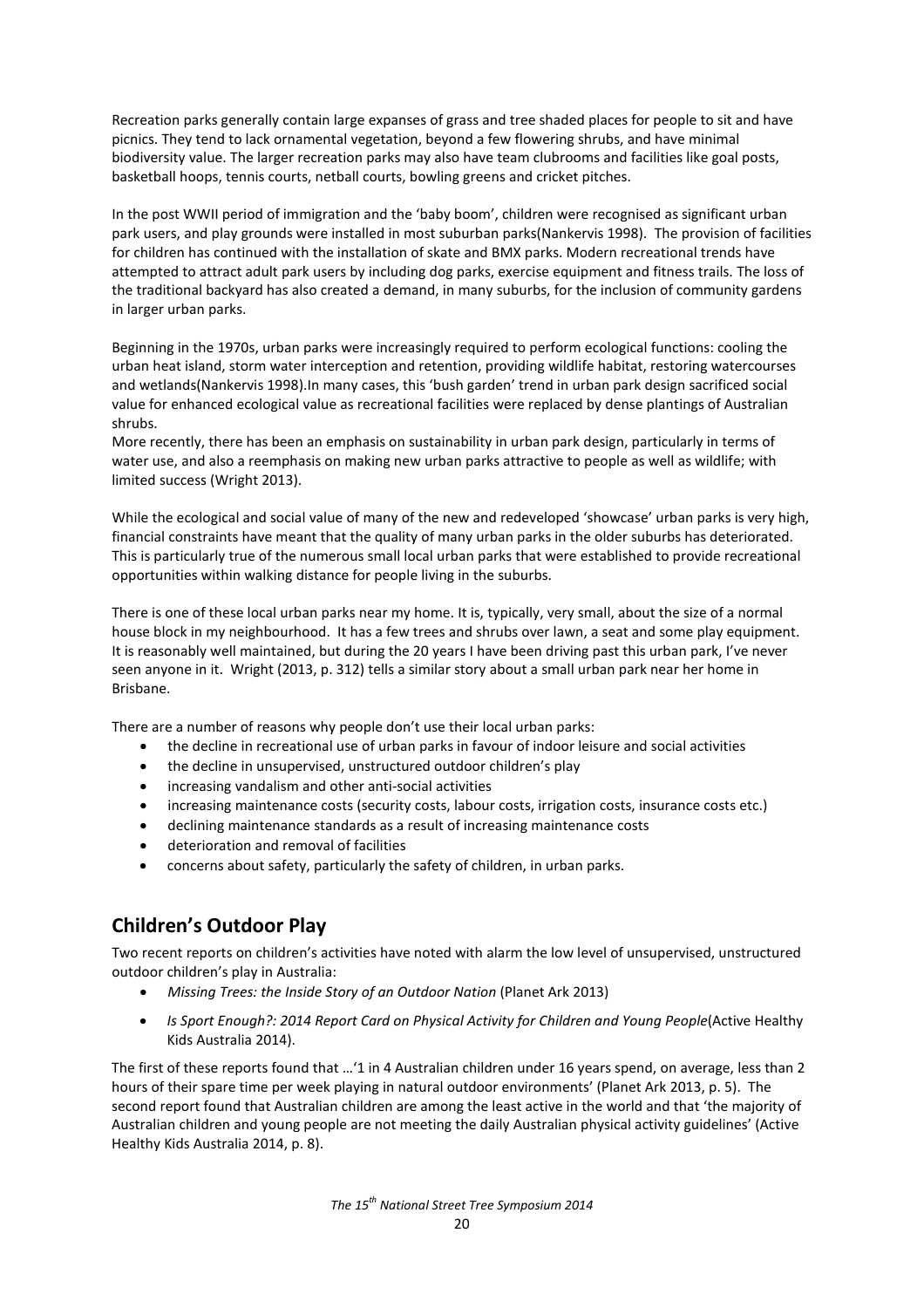Recreation parks generally contain large expanses of grass and tree shaded places for people to sit and have picnics. They tend to lack ornamental vegetation, beyond a few flowering shrubs, and have minimal biodiversity value. The larger recreation parks may also have team clubrooms and facilities like goal posts, basketball hoops, tennis courts, netball courts, bowling greens and cricket pitches.

In the post WWII period of immigration and the 'baby boom', children were recognised as significant urban park users, and play grounds were installed in most suburban parks(Nankervis 1998). The provision of facilities for children has continued with the installation of skate and BMX parks. Modern recreational trends have attempted to attract adult park users by including dog parks, exercise equipment and fitness trails. The loss of the traditional backyard has also created a demand, in many suburbs, for the inclusion of community gardens in larger urban parks.

Beginning in the 1970s, urban parks were increasingly required to perform ecological functions: cooling the urban heat island, storm water interception and retention, providing wildlife habitat, restoring watercourses and wetlands(Nankervis 1998).In many cases, this 'bush garden' trend in urban park design sacrificed social value for enhanced ecological value as recreational facilities were replaced by dense plantings of Australian shrubs.

More recently, there has been an emphasis on sustainability in urban park design, particularly in terms of water use, and also a reemphasis on making new urban parks attractive to people as well as wildlife; with limited success (Wright 2013).

While the ecological and social value of many of the new and redeveloped 'showcase' urban parks is very high, financial constraints have meant that the quality of many urban parks in the older suburbs has deteriorated. This is particularly true of the numerous small local urban parks that were established to provide recreational opportunities within walking distance for people living in the suburbs.

There is one of these local urban parks near my home. It is, typically, very small, about the size of a normal house block in my neighbourhood. It has a few trees and shrubs over lawn, a seat and some play equipment. It is reasonably well maintained, but during the 20 years I have been driving past this urban park, I've never seen anyone in it. Wright (2013, p. 312) tells a similar story about a small urban park near her home in Brisbane.

There are a number of reasons why people don't use their local urban parks:

- the decline in recreational use of urban parks in favour of indoor leisure and social activities
- the decline in unsupervised, unstructured outdoor children's play
- increasing vandalism and other anti-social activities
- increasing maintenance costs (security costs, labour costs, irrigation costs, insurance costs etc.)
- declining maintenance standards as a result of increasing maintenance costs
- deterioration and removal of facilities
- concerns about safety, particularly the safety of children, in urban parks.

# **Children's Outdoor Play**

Two recent reports on children's activities have noted with alarm the low level of unsupervised, unstructured outdoor children's play in Australia:

- *Missing Trees: the Inside Story of an Outdoor Nation* (Planet Ark 2013)
- *Is Sport Enough?: 2014 Report Card on Physical Activity for Children and Young People*(Active Healthy Kids Australia 2014).

The first of these reports found that …'1 in 4 Australian children under 16 years spend, on average, less than 2 hours of their spare time per week playing in natural outdoor environments' (Planet Ark 2013, p. 5). The second report found that Australian children are among the least active in the world and that 'the majority of Australian children and young people are not meeting the daily Australian physical activity guidelines' (Active Healthy Kids Australia 2014, p. 8).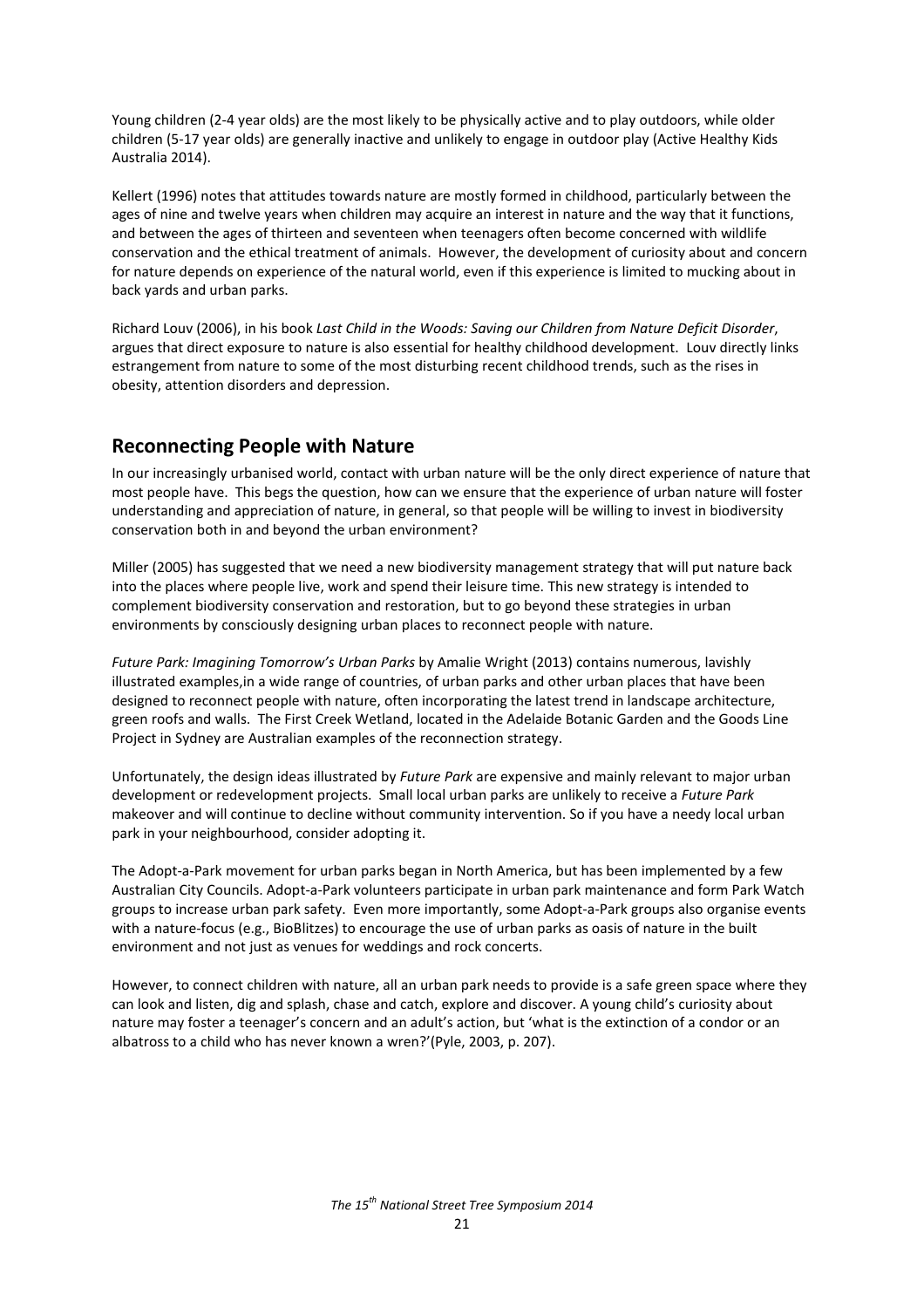Young children (2-4 year olds) are the most likely to be physically active and to play outdoors, while older children (5-17 year olds) are generally inactive and unlikely to engage in outdoor play (Active Healthy Kids Australia 2014).

Kellert (1996) notes that attitudes towards nature are mostly formed in childhood, particularly between the ages of nine and twelve years when children may acquire an interest in nature and the way that it functions, and between the ages of thirteen and seventeen when teenagers often become concerned with wildlife conservation and the ethical treatment of animals. However, the development of curiosity about and concern for nature depends on experience of the natural world, even if this experience is limited to mucking about in back yards and urban parks.

Richard Louv (2006), in his book *Last Child in the Woods: Saving our Children from Nature Deficit Disorder*, argues that direct exposure to nature is also essential for healthy childhood development. Louv directly links estrangement from nature to some of the most disturbing recent childhood trends, such as the rises in obesity, attention disorders and depression.

## **Reconnecting People with Nature**

In our increasingly urbanised world, contact with urban nature will be the only direct experience of nature that most people have. This begs the question, how can we ensure that the experience of urban nature will foster understanding and appreciation of nature, in general, so that people will be willing to invest in biodiversity conservation both in and beyond the urban environment?

Miller (2005) has suggested that we need a new biodiversity management strategy that will put nature back into the places where people live, work and spend their leisure time. This new strategy is intended to complement biodiversity conservation and restoration, but to go beyond these strategies in urban environments by consciously designing urban places to reconnect people with nature.

*Future Park: Imagining Tomorrow's Urban Parks* by Amalie Wright (2013) contains numerous, lavishly illustrated examples,in a wide range of countries, of urban parks and other urban places that have been designed to reconnect people with nature, often incorporating the latest trend in landscape architecture, green roofs and walls. The First Creek Wetland, located in the Adelaide Botanic Garden and the Goods Line Project in Sydney are Australian examples of the reconnection strategy.

Unfortunately, the design ideas illustrated by *Future Park* are expensive and mainly relevant to major urban development or redevelopment projects. Small local urban parks are unlikely to receive a *Future Park* makeover and will continue to decline without community intervention. So if you have a needy local urban park in your neighbourhood, consider adopting it.

The Adopt-a-Park movement for urban parks began in North America, but has been implemented by a few Australian City Councils. Adopt-a-Park volunteers participate in urban park maintenance and form Park Watch groups to increase urban park safety. Even more importantly, some Adopt-a-Park groups also organise events with a nature-focus (e.g., BioBlitzes) to encourage the use of urban parks as oasis of nature in the built environment and not just as venues for weddings and rock concerts.

However, to connect children with nature, all an urban park needs to provide is a safe green space where they can look and listen, dig and splash, chase and catch, explore and discover. A young child's curiosity about nature may foster a teenager's concern and an adult's action, but 'what is the extinction of a condor or an albatross to a child who has never known a wren?'(Pyle, 2003, p. 207).